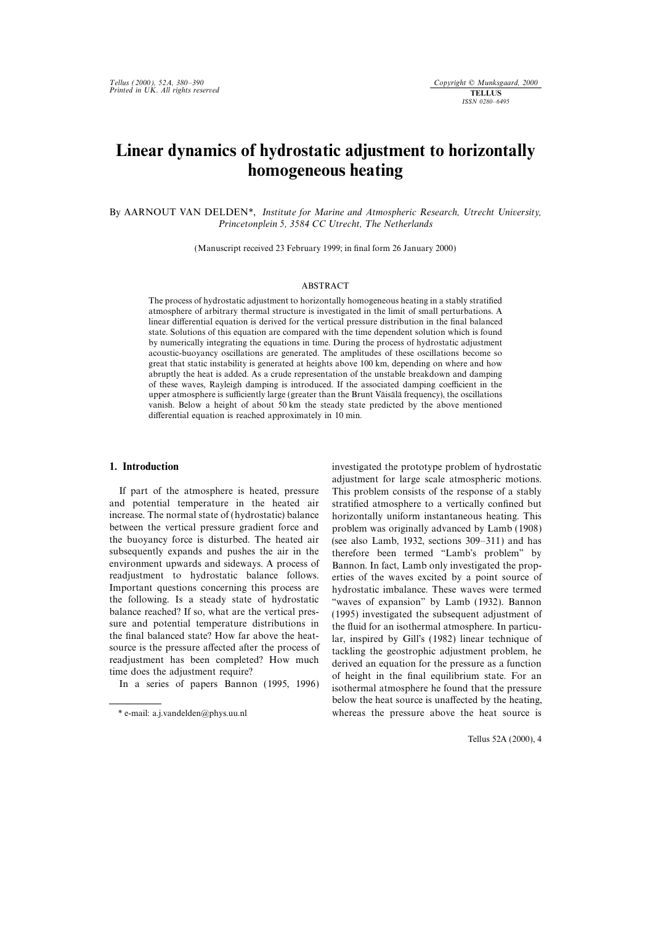## Linear dynamics of hydrostatic adjustment to horizontally homogeneous heating

By AARNOUT VAN DELDEN\*, Institute for Marine and Atmospheric Research, Utrecht University, Princetonplein 5, 3584 CC Utrecht, The Netherlands

(Manuscript received 23 February 1999; in final form 26 January 2000)

## ABSTRACT

The process of hydrostatic adjustment to horizontally homogeneous heating in a stably stratified atmosphere of arbitrary thermal structure is investigated in the limit of small perturbations. A linear differential equation is derived for the vertical pressure distribution in the final balanced state. Solutions of this equation are compared with the time dependent solution which is found by numerically integrating the equations in time. During the process of hydrostatic adjustment acoustic-buoyancy oscillations are generated. The amplitudes of these oscillations become so great that static instability is generated at heights above 100 km, depending on where and how abruptly the heat is added. As a crude representation of the unstable breakdown and damping of these waves, Rayleigh damping is introduced. If the associated damping coefficient in the upper atmosphere is sufficiently large (greater than the Brunt Väisälä frequency), the oscillations vanish. Below a height of about 50 km the steady state predicted by the above mentioned differential equation is reached approximately in 10 min.

and potential temperature in the heated air stratified atmosphere to a vertically confined but increase. The normal state of (hydrostatic) balance horizontally uniform instantaneous heating. This between the vertical pressure gradient force and problem was originally advanced by Lamb (1908) the buoyancy force is disturbed. The heated air (see also Lamb 1932, sections 309–311) and has the buoyancy force is disturbed. The heated air (see also Lamb, 1932, sections 309–311) and has subsequently expands and pushes the air in the therefore been termed "Lamb's problem" by subsequently expands and pushes the air in the therefore been termed "Lamb's problem" by<br>environment upwards and sideways. A process of Bannon In fact Lamb only investigated the propreadjustment to hydrostatic balance follows. erties of the waves excited by a point source of Important questions concerning this process are by hydrostatic implalance. These waves were termed Important questions concerning this process are hydrostatic imbalance. These waves were termed the following. Is a steady state of hydrostatic "waves of expansion" by Lamb (1932). Bannon the following. Is a steady state of hydrostatic  $\cdot$  "waves of expansion" by Lamb (1932). Bannon balance reached? If so, what are the vertical presbalance reached? If so, what are the vertical pres-  $(1995)$  investigated the subsequent adjustment of sure and potential temperature distributions in the fluid for an isothermal atmosphere. In particusure and potential temperature distributions in the fluid for an isothermal atmosphere. In particu-<br>the final balanced state? How far above the heat-<br> $\frac{1}{2}$  is inspired by Gill's (1982) linear technique of

1. Introduction investigated the prototype problem of hydrostatic adjustment for large scale atmospheric motions. If part of the atmosphere is heated, pressure This problem consists of the response of a stably Bannon. In fact, Lamb only investigated the propthe final balanced state? How far above the heat-<br>source is the pressure affected after the process of<br>readjustment has been completed? How much<br>time does the adjustment require?<br>In a series of papers Bannon (1995, 1996) a below the heat source is unaffected by the heating, \* e-mail: a.j.vandelden@phys.uu.nl whereas the pressure above the heat source is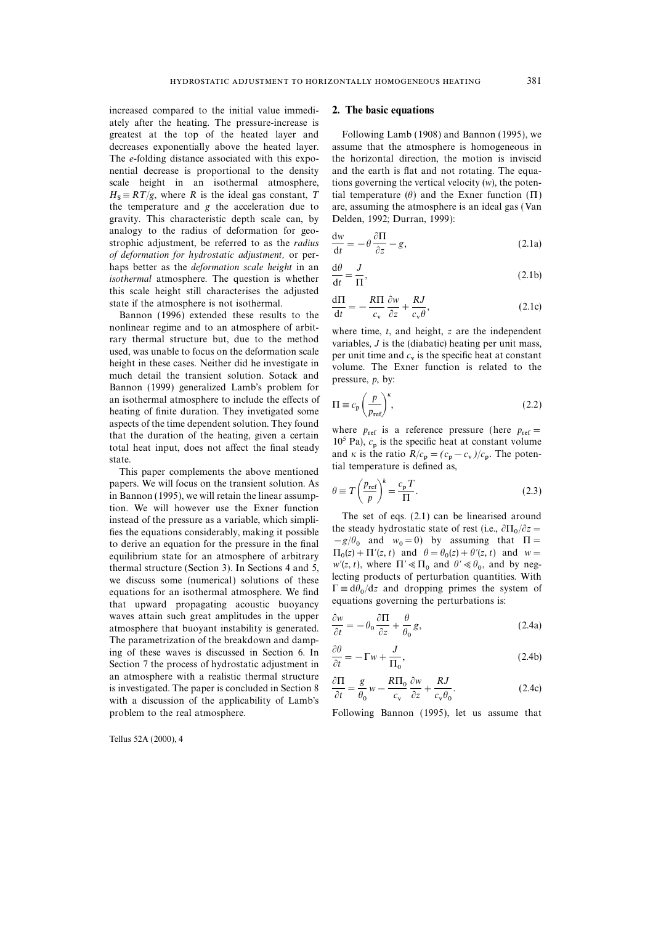increased compared to the initial value immedi- 2. The basic equations ately after the heating. The pressure-increase is greatest at the top of the heated layer and Following Lamb (1908) and Bannon (1995), we decreases exponentially above the heated layer. assume that the atmosphere is homogeneous in The e-folding distance associated with this expo- the horizontal direction, the motion is inviscid nential decrease is proportional to the density and the earth is flat and not rotating. The equascale height in an isothermal atmosphere, tions governing the vertical velocity  $(w)$ , the poten- $H_s \equiv RT/g$ , where R is the ideal gas constant, T ital temperature ( $\theta$ ) and the Exner function ( $\Pi$ ) the temperature and g the acceleration due to are, assuming the atmosphere is an ideal gas (Van gravity. This characteristic depth scale can, by Delden, 1992; Durran, 1999): analogy to the radius of deformation for geostrophic adjustment, be referred to as the radius of deformation for hydrostatic adjustment, or perhaps better as the *deformation scale height* in an isothermal atmosphere. The question is whether this scale height still characterises the adjusted state if the atmosphere is not isothermal.

Bannon (1996) extended these results to the nonlinear regime and to an atmosphere of arbit-<br>rary thermal structure but, due to the method<br>wariables, J is the (diabatic) heating per unit mass,<br>used, was unable to focus on the deformation scale<br>height in these cases. height in these cases. Neither did he investigate in volume. The Exner function is related to the much detail the transient solution. Sotack and pressure n by: much detail the transient solution. Sotack and pressure,  $p$ , by: Bannon (1999) generalized Lamb's problem for an isothermal atmosphere to include the effects of heating of finite duration. They invetigated some aspects of the time dependent solution. They found that the duration of the heating, given a certain total heat input, does not affect the final steady state

papers. We will focus on the transient solution. As<br>in Bannon (1995), we will retain the linear assump-<br>tion. We will however use the Exner function papers. We will focus on the transient solution. As<br>in Bannon (1995), we will retain the linear assumpinstead of the pressure as a variable, which simpli-<br>fies the equations considerably, making it possible<br>the steady hydrostatic state of rest (i.e.,  $\partial \Pi_0 / \partial z =$ <br>to derive an equation for the pressure in the final  $-g/\theta_0$ to derive an equation for the pressure in the final  $-g/\theta_0$  and  $w_0 = 0$  by assuming that  $\Pi =$ equilibrium state for an atmosphere of arbitrary thermal structure (Section 3). In Sections 4 and 5, thermal structure (Section 3). In Sections 4 and 5,  $w'(z, t)$ , where  $\Pi' \ll \Pi_0$  and  $\theta' \ll \theta_0$ , and by neg-<br>we discuss some (numerical) solutions of these lecting products of perturbation quantities. With equations for a equations for an isothermal atmosphere. We find that upward propagating acoustic buoyancy waves attain such great amplitudes in the upper atmosphere that buoyant instability is generated. The parametrization of the breakdown and damping of these waves is discussed in Section 6. In Section 7 the process of hydrostatic adjustment in an atmosphere with a realistic thermal structure is investigated. The paper is concluded in Section 8 with a discussion of the applicability of Lamb's problem to the real atmosphere. Following Bannon (1995), let us assume that

Tellus 52A (2000), 4

$$
\frac{\mathrm{d}w}{\mathrm{d}t} = -\theta \frac{\partial \Pi}{\partial z} - g,\tag{2.1a}
$$

$$
\frac{d\theta}{dt} = \frac{J}{\Pi},\tag{2.1b}
$$

$$
\frac{d\Pi}{dt} = -\frac{R\Pi}{c_v}\frac{\partial w}{\partial z} + \frac{RJ}{c_v\theta},\tag{2.1c}
$$

$$
\Pi \equiv c_{\rm p} \left( \frac{p}{p_{\rm ref}} \right)^{\kappa},\tag{2.2}
$$

where  $p_{ref}$  is a reference pressure (here  $p_{ref}$  =  $10^5$  Pa),  $c_p$  is the specific heat at constant volume state.<br>
This paper complements the above mentioned ial temperature is defined as,

$$
\theta \equiv T \left( \frac{p_{\text{ref}}}{p} \right)^k = \frac{c_p T}{\Pi}.
$$
\n(2.3)

 $\Pi_0(z) + \Pi'(z, t)$  and  $\theta = \theta$  $w'(z, t)$ , where  $\Pi' \ll \Pi_0$  and  $\theta' \ll \theta_0$ , and by neg- $\Gamma \equiv d\theta_0/dz$  and dropping primes the system of equations governing the perturbations is:

$$
\frac{\partial w}{\partial t} = -\theta_0 \frac{\partial \Pi}{\partial z} + \frac{\theta}{\theta_0} g,\tag{2.4a}
$$

$$
\frac{\partial \theta}{\partial t} = -\Gamma w + \frac{J}{\Pi_0},\tag{2.4b}
$$

$$
\frac{\partial \Pi}{\partial t} = \frac{g}{\theta_0} w - \frac{R\Pi_0}{c_v} \frac{\partial w}{\partial z} + \frac{RJ}{c_v \theta_0}.
$$
 (2.4c)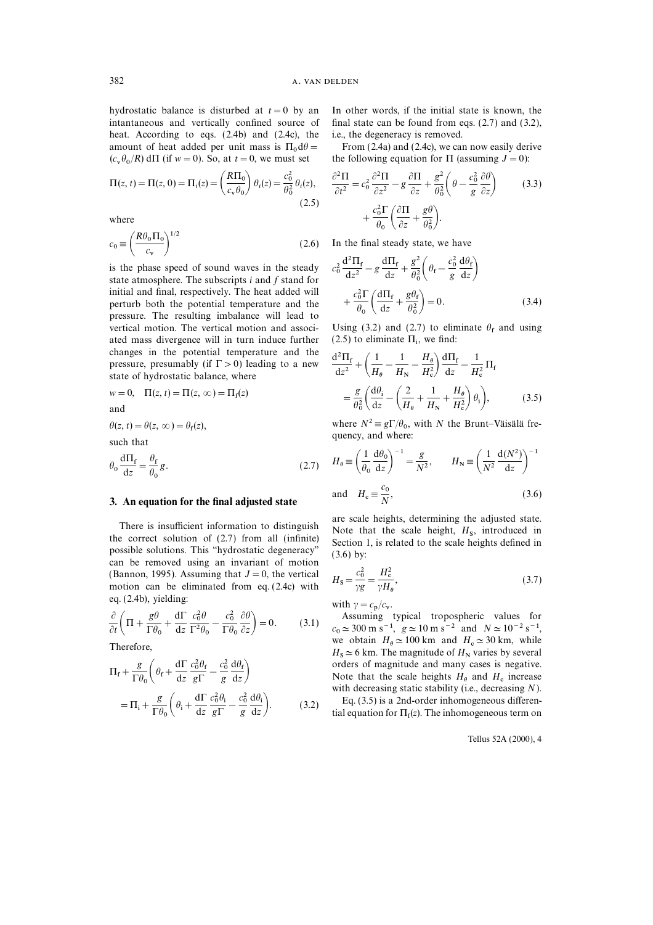hydrostatic balance is disturbed at  $t=0$  by an In other words, if the initial state is known, the heat. According to eqs. (2.4b) and (2.4c), the i.e., the degeneracy is removed. amount of heat added per unit mass is  $\Pi_0 d\theta = \qquad \qquad$  From (2.4a) and (2.4c), we can now easily derive  $(2, 0, 0)$ .  $(c_v \theta_0)$ 

$$
\Pi(z, t) = \Pi(z, 0) = \Pi_i(z) = \left(\frac{R\Pi_0}{c_v \theta_0}\right) \theta_i(z) = \frac{c_0^2}{\theta_0^2} \theta_i(z),
$$
\n(2.5)

$$
c_0 \equiv \left(\frac{R\theta_0 \Pi_0}{c_v}\right)^{1/2} \tag{2.6}
$$

is the phase speed of sound waves in the steady  $c_0^2 \frac{d^2 H_f}{dz^2} - g \frac{d^2 H_f}{dz} + \frac{g}{\theta_0} \left( \theta_f - \frac{c_0}{g} \frac{d\theta_f}{dz} \right)$ <br>state atmosphere. The subscripts i and f stand for initial and final, respectively. The heat added will perturb both the potential temperature and the  $+\frac{0.6}{\theta_0} \left( \frac{2.4}{\theta_0} + \frac{8.4}{\theta_0^2} \right) = 0.$  (3.4)<br>pressure. The resulting imbalance will lead to vertical motion. The vertical motion and associ-<br>ated mass divergence will in turn induce further  $(2.5)$  to eliminate  $\Pi_i$ , we find: ated mass divergence will in turn induce further changes in the potential temperature and the pressure, presumably (if  $\Gamma > 0$ ) leading to a new  $\frac{d^2 \Pi_f}{dz^2} + \left(\frac{1}{H_\theta} - \frac{1}{H_\text{N}} - \frac{H_\theta}{H_\text{c}^2}\right) \frac{d\Pi_f}{dz} - \frac{1}{H_\text{c}^2} \Pi_f$ <br>state of hydrostatic balance, where

$$
w = 0, \quad \Pi(z, t) = \Pi(z, \infty) = \Pi_f(z)
$$
  
and

 $f(z)$ , quency, and where: such that

$$
\theta_0 \frac{d\Pi_f}{dz} = \frac{\theta_f}{\theta_0} g. \tag{2.7}
$$

### 3. An equation for the final adjusted state  $X_c = N$

possible solutions. This "hydrostatic degeneracy" (3.6) by:<br>can be removed using an invariant of motion eq.  $(2.4b)$ , yielding:

$$
\frac{\partial}{\partial t} \left( \Pi + \frac{g\theta}{\Gamma \theta_0} + \frac{d\Gamma}{dz} \frac{c_0^2 \theta}{\Gamma^2 \theta_0} - \frac{c_0^2}{\Gamma \theta_0} \frac{\partial \theta}{\partial z} \right) = 0.
$$
\n(3.1) Assuming typical tropospheric values for  
\n $c_0 \approx 300 \text{ m s}^{-1}, g \approx 10 \text{ m s}^{-2}$  and  $N \approx 10^{-2} \text{ s}^{-1}$ ,  
\nwe obtain  $H_a \approx 100 \text{ km}$  and  $H_c \approx 30 \text{ km}$ , while

Therefore,

$$
\Pi_{\rm f} + \frac{g}{\Gamma \theta_{0}} \left( \theta_{\rm f} + \frac{d\Gamma}{dz} \frac{c_{0}^{2} \theta_{\rm f}}{g \Gamma} - \frac{c_{0}^{2}}{g} \frac{d\theta_{\rm f}}{dz} \right)
$$

$$
= \Pi_{\rm i} + \frac{g}{\Gamma \theta_{0}} \left( \theta_{\rm i} + \frac{d\Gamma}{dz} \frac{c_{0}^{2} \theta_{\rm i}}{g \Gamma} - \frac{c_{0}^{2}}{g} \frac{d\theta_{\rm i}}{dz} \right). \tag{3.2}
$$

intantaneous and vertically confined source of final state can be found from eqs. (2.7) and (3.2),

the following equation for  $\Pi$  (assuming  $J=0$ ):

$$
\Pi(z, t) = \Pi(z, 0) = \Pi_i(z) = \left(\frac{R\Pi_0}{c_v \theta_0}\right) \theta_i(z) = \frac{c_0^2}{\theta_0^2} \theta_i(z), \qquad \frac{\partial^2 \Pi}{\partial t^2} = c_0^2 \frac{\partial^2 \Pi}{\partial z^2} - g \frac{\partial \Pi}{\partial z} + \frac{g^2}{\theta_0^2} \left(\theta - \frac{c_0^2}{g} \frac{\partial \theta}{\partial z}\right)
$$
(3.3)  
where  

$$
(R\theta_0 \Pi_0)^{1/2}
$$

In the final steady state, we have

$$
c_0^2 \frac{d^2 \Pi_f}{dz^2} - g \frac{d \Pi_f}{dz} + \frac{g^2}{\theta_0^2} \left( \theta_f - \frac{c_0^2}{g} \frac{d \theta_f}{dz} \right)
$$

$$
+ \frac{c_0^2 \Gamma}{\theta_0} \left( \frac{d \Pi_f}{dz} + \frac{g \theta_f}{\theta_0^2} \right) = 0.
$$
(3.4)

Using (3.2) and (2.7) to eliminate  $\theta_f$  and using

Therefore, the equation is given by:

\n
$$
\frac{d^2 \Pi_f}{dz^2} + \left( \frac{1}{H_\theta} - \frac{1}{H_N} - \frac{H_\theta}{H_c^2} \right) \frac{d\Pi_f}{dz} - \frac{1}{H_c^2} \Pi_f
$$
\n(z)

\n
$$
= \frac{g}{\theta_0^2} \left( \frac{d\theta_i}{dz} - \left( \frac{2}{H_\theta} + \frac{1}{H_N} + \frac{H_\theta}{H_c^2} \right) \theta_i \right),
$$
\n(3.5)

 $\theta(z, t) = \theta(z, \infty) = \theta_f(z)$ , where  $N^2 \equiv g \Gamma / \theta_0$ , with N the Brunt–Väisälä fre-

$$
H_{\theta} \equiv \left(\frac{1}{\theta_0} \frac{d\theta_0}{dz}\right)^{-1} = \frac{g}{N^2}, \qquad H_N \equiv \left(\frac{1}{N^2} \frac{d(N^2)}{dz}\right)^{-1}
$$
  
and 
$$
H_c \equiv \frac{c_0}{N}, \tag{3.6}
$$

There is insufficient information to distinguish are scale heights, determining the adjusted state.<br>
Note that the scale height,  $H_s$ , introduced in<br>
Section 1, is related to the scale heights defined in

(Bannon, 1995). Assuming that 
$$
J = 0
$$
, the vertical motion can be eliminated from eq. (2.4c) with  $H_s = \frac{c_0^2}{\gamma g} = \frac{H_c^2}{\gamma H_\theta}$ , (3.7)

 $/c_{\rm v}$ .

 $0 \approx 300 \text{ m s}^{-1}$ ,  $g \approx 10 \text{ m s}^{-2}$  and  $N \approx 10^{-2} \text{ s}^{-1}$ , we obtain  $H_{\theta} \simeq 100 \text{ km}$  and  $H_{\text{c}}$ Therefore,<br>  $H_8 \simeq 6$  km. The magnitude of  $H_N$  varies by several<br>  $H_8 \simeq 6$  km. The magnitude of  $H_N$  varies by several  $\Pi_{\rm f} + \frac{g}{\Gamma \theta_{\rm o}} \left( \theta_{\rm f} + \frac{d\Gamma}{dz} \frac{c_0^2 \theta_{\rm f}}{g\Gamma} - \frac{c_0^2}{g} \frac{d\theta_{\rm f}}{dz} \right)$  orders of magnitude and many cases is negative.<br>Note that the scale heights  $H_{\theta}$  and  $H_{\rm c}$  increase with decreasing stati with decreasing static stability (i.e., decreasing  $N$ ).

> Eq.  $(3.5)$  is a 2nd-order inhomogeneous differen- $\frac{d\sigma_i}{dz}$ . (3.2) tial equation for  $\Pi_f(z)$ . The inhomogeneous term on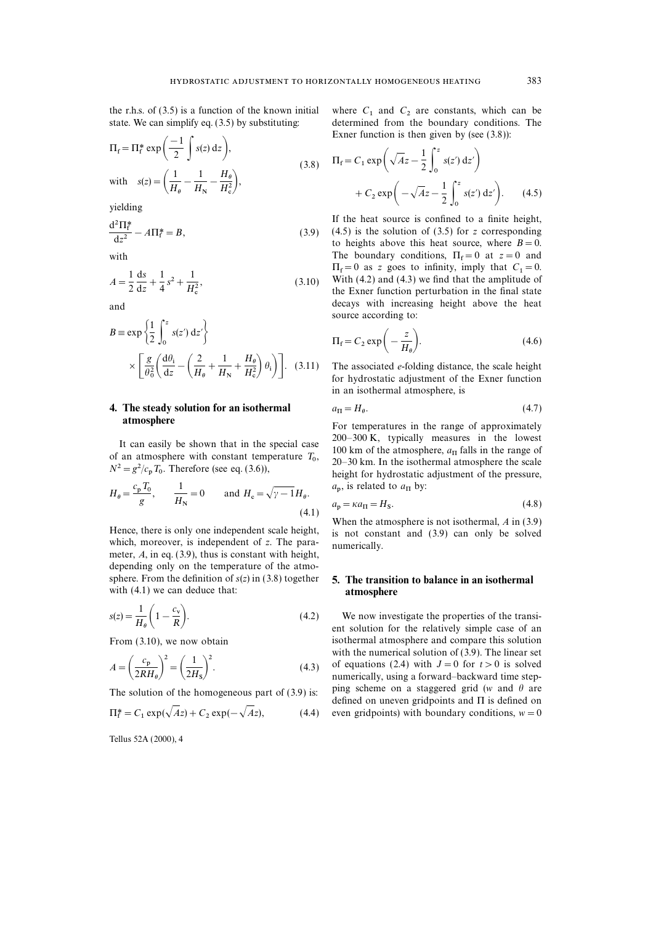the r.h.s. of (3.5) is a function of the known initial where  $C_1$  and  $C_2$  are constants, which can be state. We can simplify eq. (3.5) by substituting: determined from the boundary conditions. The

$$
\Pi_{\rm f} = \Pi_{\rm f}^* \exp\left(\frac{-1}{2} \int s(z) dz\right),
$$
\n
$$
\text{with } s(z) = \left(\frac{1}{H_{\rm e}} - \frac{1}{H_{\rm N}} - \frac{H_{\rm e}}{H_{\rm c}^2}\right),
$$
\n
$$
\text{(3.8)} \quad \Pi_{\rm f} = C_1 \exp\left(\sqrt{A}z - \frac{1}{2} \int_0^z s(z') dz'\right),
$$
\n
$$
+ C_2 \exp\left(-\sqrt{A}z - \frac{1}{2} \int_z^z s(z') dz'\right).
$$

yielding

$$
\frac{d^2 \Pi_f^*}{dz^2} - A \Pi_f^* = B,\tag{3.9}
$$

$$
A = \frac{1}{2} \frac{ds}{dz} + \frac{1}{4} s^2 + \frac{1}{H_c^2},
$$
\n(3.10)

$$
B = \exp\left\{\frac{1}{2} \int_0^z s(z') dz'\right\}
$$
  
 
$$
\times \left[\frac{g}{\theta_0^2} \left(\frac{d\theta_i}{dz} - \left(\frac{2}{H_\theta} + \frac{1}{H_N} + \frac{H_\theta}{H_c^2}\right)\theta_i\right)\right].
$$
 (3.11) The

# 4. The steady solution for an isothermal<br>atmosphere

If can easily be shown that in the special case<br>  $T_0$ ,  $100 \text{ km of the atmosphere, } a_{\text{II}}$  falls in the range of<br>  $20-30 \text{ km}$ . In the isothermal atmosphere the scale  $_{\rm p}$  T<sub>0</sub>

$$
H_{\theta} = \frac{c_{\rm p} T_0}{g}, \qquad \frac{1}{H_{\rm N}} = 0 \qquad \text{and } H_{\rm c} = \sqrt{\gamma - 1} H_{\theta}. \qquad \begin{array}{c} a_{\rm p}, \text{ is related to } a_{\rm \Pi} \text{ by:} \\ a_{\rm p} = \kappa a_{\rm \Pi} = H_{\rm S}. \end{array}
$$

meter, A, in eq. (3.9), thus is constant with height, depending only on the temperature of the atmosphere. From the definition of  $s(z)$  in (3.8) together 5. The transition to balance in an isothermal with (4.1) we can deduce that: **atmosphere** 

$$
s(z) = \frac{1}{H_{\theta}} \left( 1 - \frac{c_{\rm v}}{R} \right). \tag{4.2}
$$

$$
A = \left(\frac{c_{\rm p}}{2RH_{\theta}}\right)^2 = \left(\frac{1}{2H_{\rm s}}\right)^2.
$$
 (4.3)

$$
\Pi_{\rm f}^* = C_1 \exp(\sqrt{Az}) + C_2 \exp(-\sqrt{Az}), \tag{4.4}
$$

determined from the boundary conditions. The Exner function is then given by (see  $(3.8)$ ):

$$
\Pi_{\rm f} = C_1 \exp\left(\sqrt{Az} - \frac{1}{2} \int_0^z s(z') \, dz'\right)
$$

$$
+ C_2 \exp\left(-\sqrt{Az} - \frac{1}{2} \int_0^z s(z') \, dz'\right). \tag{4.5}
$$

If the heat source is confined to a finite height, <sup>2</sup>If the heat source is confined to a finite height,<br> $(3.9)$  (4.5) is the solution of (3.5) for z corresponding  $(3.6)$ to heights above this heat source, where  $B=0$ . with The boundary conditions,  $\Pi_f = 0$  at  $z = 0$  and  $\Pi_f = 0$  as z goes to infinity, imply that  $C_1 = 0$ . With  $(4.2)$  and  $(4.3)$  we find that the amplitude of the Exner function perturbation in the final state and and the set of the heat decays with increasing height above the heat source according to:

$$
\Pi_{\rm f} = C_2 \exp\bigg(-\frac{z}{H_{\theta}}\bigg). \tag{4.6}
$$

The associated  $e$ -folding distance, the scale height for hydrostatic adjustment of the Exner function in an isothermal atmosphere, is

$$
a_{\Pi} = H_{\theta}.\tag{4.7}
$$

For temperatures in the range of approximately It can easily be shown that in the special case  $\frac{200-300 \text{ K}}{100 \text{ km of the atmosphere, } a_{\Pi}$  falls in the range of  $20-30$  km. In the isothermal atmosphere the scale height for hydrostatic adjustment of the pressure,

$$
a_{\rm p} = \kappa a_{\rm \Pi} = H_{\rm S}.\tag{4.8}
$$

Hence, there is only one independent scale height,<br>when the atmosphere is not isothermal, A in (3.9) which, moreover, is independent of z. The para-<br>numerically.

 $\frac{N}{R}$ . (4.2) We now investigate the properties of the transi-<br>ent solution for the relatively simple case of an From (3.10), we now obtain isothermal atmosphere and compare this solution with the numerical solution of (3.9). The linear set  $A = \left(\frac{c_p}{2RH_\theta}\right) = \left(\frac{1}{2H_s}\right)$ . (4.3) of equations (2.4) with  $J = 0$  for  $t > 0$  is solved<br>numerically, using a forward–backward time step-<br>ning seboration on a staggared grid (w and 0 are The solution of the homogeneous part of (3.9) is: ping scheme on a staggered grid (w and  $\theta$  are defined on uneven gridpoints and  $\Pi$  is defined on even gridpoints) with boundary conditions,  $w=0$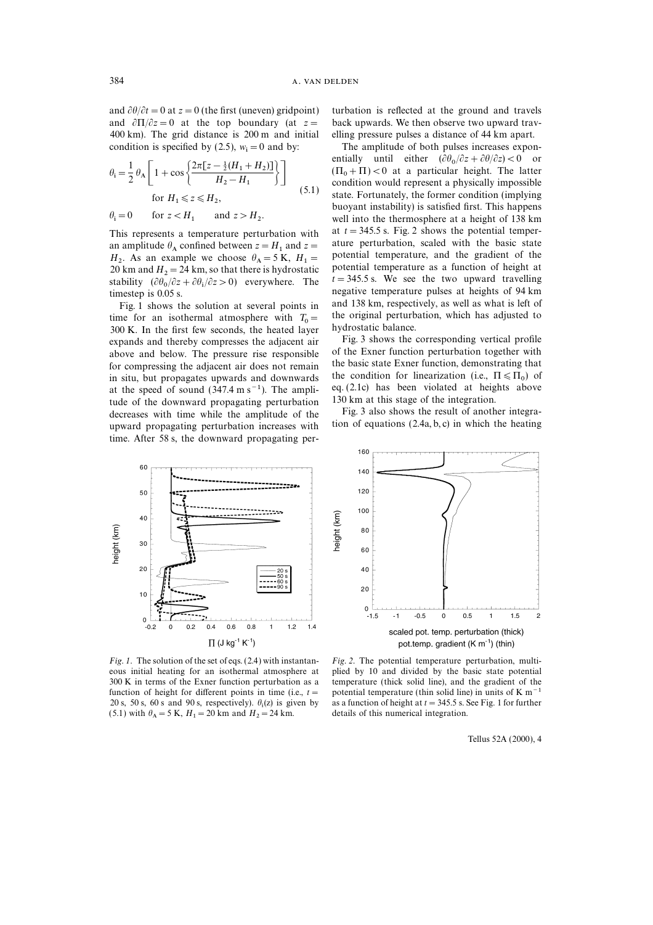and  $\partial \theta / \partial t = 0$  at  $z = 0$  (the first (uneven) gridpoint) turbation is reflected at the ground and travels and  $\partial \Pi/\partial z = 0$  at the top boundary (at  $z =$  back upwards. We then observe two upward trav-400 km). The grid distance is 200 m and initial elling pressure pulses a distance of 44 km apart. condition is specified by (2.5),  $w_i = 0$  and by:

$$
\theta_{\rm i} = \frac{1}{2} \theta_{\rm A} \left[ 1 + \cos \left\{ \frac{2\pi [z - \frac{1}{2} (H_1 + H_2)]}{H_2 - H_1} \right\} \right]
$$
  
for  $H_1 \le z \le H_2$ , (5.1)

$$
\theta_{\mathbf{i}} = 0 \qquad \text{for } z < H_1 \qquad \text{and } z > H_2.
$$

an amplitude  $\theta_A$  confined between  $z = H_1$  and  $z =$  ature perturbation, scaled with the basic state  $H_2$ . As an example we choose  $\theta_A = 5$  K,  $H_1 =$  potential temperature, and the gradient of the 20 km and H<sub>1</sub> 24 km as the theories had potential temperature as a function of height at  $H_2$ . As an example we choose  $\theta_A = 5$  K,  $H_1 =$  potential temperature, and the gradient of the 20 km and  $H_2 = 24$  km, so that there is hydrostatic potential temperature as a function of height at  $t = 345.5$  s. We see t stability  $(\partial \theta_0 / \partial z + \partial \theta_1 / \partial z > 0)$  everywhere. The  $t = 345.5$  s. We see the two upward travelling negative temperature pulses at heights of 94 km timestep is 0.05 s.

time for an isothermal atmosphere with  $T_0 =$  the original perturb<br>300 K. In the first few seconds, the heated layer hydrostatic balance. = 300 K. In the first few seconds, the heated layer hydrostatic balance.<br>
200 K. In the first few seconds, the heated layer Fig. 3 shows the corresponding vertical profile expands above and helow. The pressure rise respons for compressing the adjacent air does not remain in situ, but propagates upwards and downwards at the speed of sound (347.4 m s<sup>−1</sup>). The ampli-<br>eq. (2.1c) has been violated at heights the speed of the speed of the speed of the speed of the speed of the speed of the speed of the speed of the integration. tude of the downward propagating perturbation  $130 \text{ km}$  at this stage of the integration.<br>decreases with time while the amplitude of the  $\frac{130 \text{ km}}{2}$  also shows the result of another integradecreases with time while the amplitude of the Fig. 3 also shows the result of another integra-<br>unward propagating perturbation increases with tion of equations  $(2.4a, b, c)$  in which the heating upward propagating perturbation increases with time. After 58 s, the downward propagating per-

The amplitude of both pulses increases exponentially until either  $(\partial \theta_0 / \partial z + \partial \theta / \partial z) < 0$  or  $(\Pi_0 + \Pi) < 0$  at a particular height. The latter condition would represent a physically impossible state. Fortunately, the former condition (implying buoyant instability) is satisfied first. This happens well into the thermosphere at a height of 138 km This represents a temperature perturbation with at  $t = 345.5$  s. Fig. 2 shows the potential temper-<br>an amplitude  $\theta$ , confined between  $z = H$ , and  $z =$  ature perturbation, scaled with the basic state negative temperature pulses at heights of 94 km<br>and 138 km, respectively, as well as what is left of Fig. 1 shows the solution at several points in and 138 km, respectively, as well as what is left of the form and isothermal atmosphere with  $T<sub>o</sub>$  the original perturbation, which has adjusted to

above and below. The pressure rise responsible of the Exner function perturbation together with<br>for compressing the adjacent air does not remain the basic state Exner function, demonstrating that the condition for linearization (i.e.,  $\Pi \leq \Pi_0$ ) of eq. (2.1c) has been violated at heights above



Fig. 1. The solution of the set of eqs. (2.4) with instantan- Fig. 2. The potential temperature perturbation, multi-20 s, 50 s, 60 s and 90 s, respectively).  $\theta_i(z)$  is given by (5.1) with  $\theta_A = 5$  K,  $H_1 = 20$  km and  $H_2$ 



eous initial heating for an isothermal atmosphere at plied by 10 and divided by the basic state potential 300 K in terms of the Exner function perturbation as a temperature (thick solid line), and the gradient of the temperature (thick solid line), and the gradient of the function of height for different points in time (i.e.,  $t =$  potential temperature (thin solid line) in units of K m<sup>-1</sup> as a function of height at  $t=345.5$  s. See Fig. 1 for further details of this numerical integration.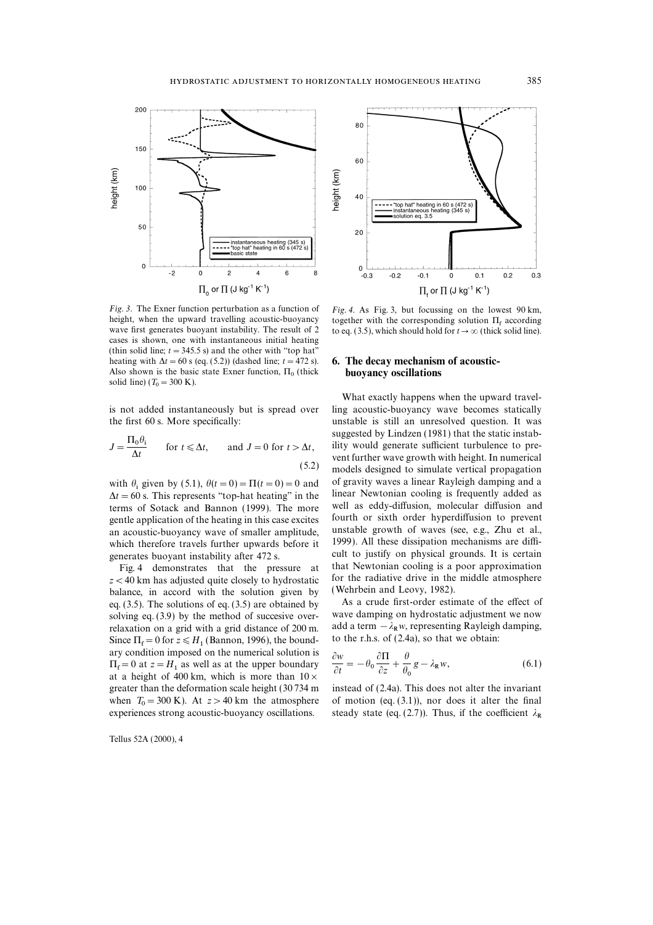

*Fig.* 3. The Exner function perturbation as a function of Fig. 4. As Fig. 3, but focussing on the lowest 90 km, height, when the upward travelling acoustic-buoyancy together with the corresponding solution  $\Pi_c$  accordin height, when the upward travelling acoustic-buoyancy together with the corresponding solution  $\Pi_f$  according wave first generates buoyant instability. The result of 2 to eq. (3.5), which should hold for  $t \to \infty$  (thick s cases is shown, one with instantaneous initial heating (thin solid line;  $t = 345.5$  s) and the other with "top hat" heating with  $\Delta t = 60$  s (eq. (5.2)) (dashed line;  $t = 472$  s). 6. The decay mechanism of acoustic-Also shown is the basic state Exner function,  $\Pi_0$  (thick buoyancy oscillations  $v_0 = 300 \text{ K}.$ 

the first 60 s. More specifically: unstable is still an unresolved question. It was

$$
J = \frac{\Pi_0 \theta_i}{\Delta t} \qquad \text{for } t \le \Delta t, \qquad \text{and } J = 0 \text{ for } t > \Delta t,
$$

 $\Delta t = 60$  s. This represents "top-hat heating" in the linear Newtonian cooling is frequently added as terms of Sotack and Bannon (1999). The more well as eddy-diffusion, molecular diffusion and terms of Sotack and Bannon (1999). The more gentle application of the heating in this case excites fourth or sixth order hyperdiffusion to prevent an acoustic-buoyancy wave of smaller amplitude. unstable growth of waves (see, e.g., Zhu et al., an acoustic-buoyancy wave of smaller amplitude, which therefore travels further upwards before it 1999). All these dissipation mechanisms are diffi-

 $z < 40$  km has adjusted quite closely to hydrostatic for the radiative drive in the halance in accord with the solution given by (Wehrbein and Leovy, 1982). balance, in accord with the solution given by eq. (3.5). The solutions of eq. (3.5) are obtained by <br>
As a crude first-order estimate of the effect of solving eq. (3.9) by the method of succesive over-<br>
wave damping on hydrostatic adjustment we now solving eq.  $(3.9)$  by the method of succesive over-Since  $\Pi_f = 0$  for  $z \le H_1$  (Bannon, 1996), the bound-<br>some sendition in property of the numerical solution is ary condition imposed on the numerical solution is at a height of 400 km, which is more than  $10 \times$ greater than the deformation scale height (30734 m instead of (2.4a). This does not alter the invariant when  $T_0 = 300$  K). At  $z > 40$  km the atmosphere

Tellus 52A (2000), 4



to eq. (3.5), which should hold for  $t \to \infty$  (thick solid line).

What exactly happens when the upward travelis not added instantaneously but is spread over ling acoustic-buoyancy wave becomes statically suggested by Lindzen (1981) that the static instability would generate sufficient turbulence to pre-<br>vent further wave growth with height. In numerical models designed to simulate vertical propagation with  $\theta_i$  given by (5.1),  $\theta(t=0) = \Pi(t=0) = 0$  and of gravity waves a linear Rayleigh damping and a interval of the state of the interval of the interval of the state of the state of the state of the integral system is fre generates buoyant instability after 472 s.<br>
Fig. 4 demonstrates that the pressure at that Newtonian cooling is a poor approximation Fig. 4 demonstrates that the pressure at that Newtonian cooling is a poor approximation  $\lt$  40 km has adjusted quite closely to hydrostatic for the radiative drive in the middle atmosphere

relaxation on a grid with a grid distance of 200 m. add a term  $-\lambda_R w$ , representing Rayleigh damping, to the r.h.s. of  $(2.4a)$ , so that we obtain:

\n any condition imposed on the numerical solution is\n 
$$
\frac{\partial w}{\partial t} = -\theta_0 \frac{\partial \Pi}{\partial z} + \frac{\theta}{\theta_0} g - \lambda_R w,
$$
\n (6.1)\n at a height of 400 km, which is more than\n  $10 \times$ \n

when  $T_0 = 300$  K). At  $z > 40$  km the atmosphere of motion (eq. (3.1)), nor does it alter the final experiences strong acoustic-buoyancy oscillations. steady state (eq. (2.7)). Thus, if the coefficient  $\lambda_R$ experiences strong acoustic-buoyancy oscillations. steady state (eq. (2.7)). Thus, if the coefficient  $\lambda_R$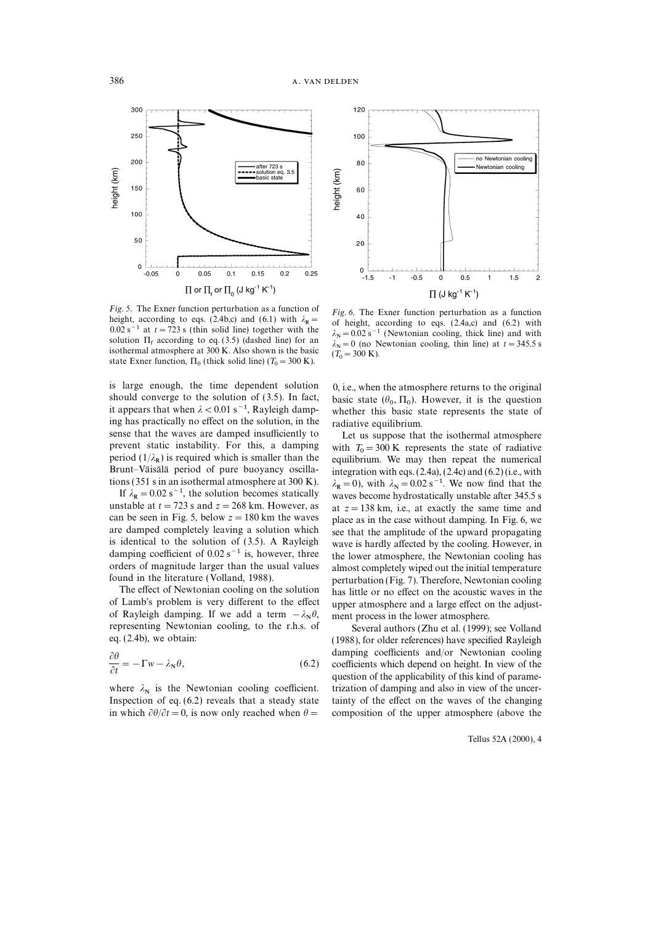

Fig. 5. The Exner function perturbation as a function of Fig. 6. The Exner function perturbation as a function height, according to eqs. (2.4b,c) and (6.1) with  $\lambda_R =$  of height, according to eqs. (2.4a,c) and (6.2) with  $0.02$  s<sup>-1</sup> at  $t = 723$  s (thin solid line) together with the solution  $\Pi_f$  according to eq. (3.5) (dashed line) for an isothermal atmosphere at 300 K. Also shown is the basic EXECUTE SOLUTE SOLUTE AT 300 K. Also shown is the basic  $(T_0 = 300 \text{ K})$ .<br>State Exner function,  $\Pi_0$  (thick solid line)  $(T_0 = 300 \text{ K})$ .

is large enough, the time dependent solution  $0$ , i.e., when the atmosphere returns to the original should converge to the solution of (3.5). In fact, it appears that when  $\lambda < 0.01$  s<sup>-1</sup>, Rayleigh dampit appears that when  $\lambda < 0.01 \text{ s}^{-1}$ , Rayleigh damp-<br>whether this basic state represents the state of ing has practically no effect on the solution, in the radiative equilibrium.<br>sense that the waves are damped insufficiently to Let us suppose that prevent static instability. For this, a damping period  $(1/\lambda_R)$  is required which is smaller than the Brind  $(1/\lambda_R)$  is required which is smaller than the equilibrium. We may then repeat the numerical Brunt–Väisälä period of pure buoyancy oscilla-<br>Brunt–Väisälä period of pure buoyancy oscilla-<br>integration with eqs. (2.4a) tions (351 s in an isothermal atmosphere at 300 K).

If  $\lambda_R = 0.02$  s<sup>-1</sup>, the solution becomes statically unstable at  $t = 723$  s and  $z = 268$  km. However, as unstable at  $t = 723$  s and  $z = 268$  km. However, as at  $z = 138$  km, i.e., at exactly the same time and can be seen in Fig. 5, below  $z = 180$  km the waves place as in the case without damning In Fig. 6, we can be seen in Fig. 5, below  $z = 180$  km the waves place as in the case without damping. In Fig. 6, we are damped completely leaving a solution which see that the amplitude of the upward propagating are damped completely leaving a solution which see that the amplitude of the upward propagating is identical to the solution of  $(3.5)$ . A Rayleigh wave is hardly affected by the cooling. However in damping coefficient of  $0.02 s^{-1}$  is, however, three the lower atmosphere, the Newtonian cooling has

of Lamb's problem is very different to the effect upper atmosphere and a large effect on the adjustof Rayleigh damping. If we add a term  $-\lambda_N \theta$ , or Rayleigh damping. If we add a term  $\frac{1}{2}$  ment process in the lower atmosphere.<br>
Representing Newtonian cooling, to the r.h.s. of Several authors (Zhu et al. (1999); see Volland

$$
\frac{\partial \theta}{\partial t} = -\Gamma w - \lambda_N \theta,\tag{6.2}
$$

Inspection of eq.  $(6.2)$  reveals that a steady state in which  $\partial \theta/\partial t=0$ , is now only reached when  $\theta =$  composition of the upper atmosphere (above the



 $\lambda_N = 0.02$  s<sup>−1</sup> (Newtonian cooling, thick line) and with  $N = 0.02$  s (incontomal cooling, thin line) at  $t = 345.5$  s  $\frac{N}{T}$  $\overline{0}$ 

 $, \Pi_0$ ). However, it is the question

Let us suppose that the isothermal atmosphere  $\overline{C}_0 = 300 \text{ K}$  represents the state of radiative equilibrium. We may then repeat the numerical  $R_R = 0.02$  s<sup>−1</sup>, the solution becomes statically waves become hydrostatically unstable after 345.5 s  $= 0$ ), with  $\lambda_N = 0.02$  s<sup>-1</sup>. We now find that the wave is hardly affected by the cooling. However, in orders of magnitude larger than the usual values almost completely wiped out the initial temperature found in the literature (Volland, 1988). perturbation (Fig. 7). Therefore, Newtonian cooling The effect of Newtonian cooling on the solution has little or no effect on the acoustic waves in the ment process in the lower atmosphere.

eq. (2.4b), we obtain: (1988), for older references) have specified Rayleigh damping coefficients and/or Newtonian cooling coefficients which depend on height. In view of the question of the applicability of this kind of paramewhere  $\lambda_N$  is the Newtonian cooling coefficient. trization of damping and also in view of the uncer-<br>Inspection of eq. (6.2) reveals that a steady state tainty of the effect on the waves of the changing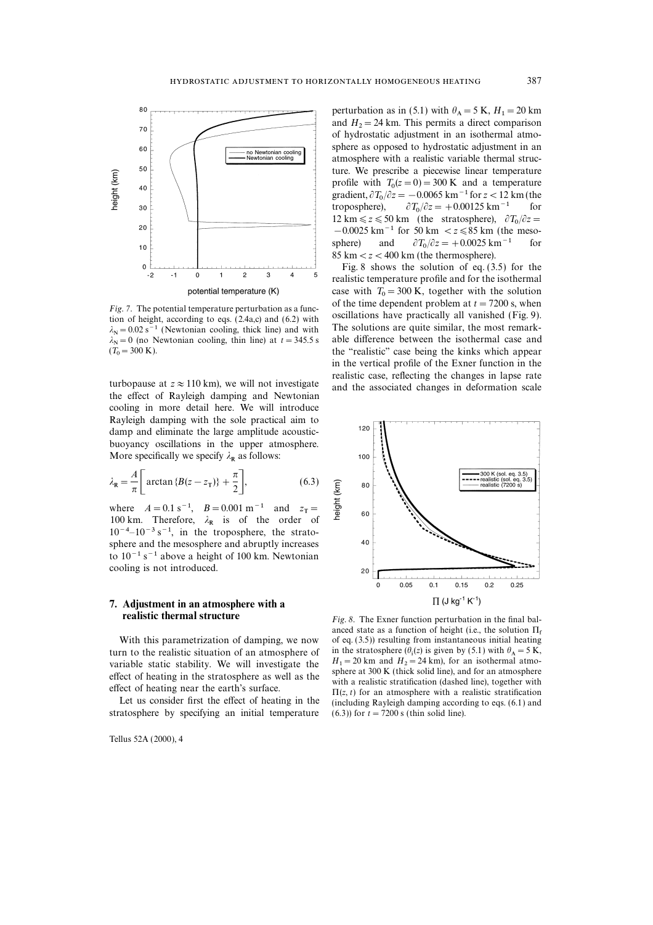

 $\lambda_N = 0.02$  s<sup>−1</sup> (Newtonian cooling, thick line) and with  $\lambda_N = 0$  (no Newtonian cooling, thin line) at  $t = 345.5$  s  $(T_0$ 

cooling in more detail here. We will introduce Rayleigh damping with the sole practical aim to damp and eliminate the large amplitude acousticbuoyancy oscillations in the upper atmosphere. More specifically we specify  $\lambda_{\mathbf{R}}$  as follows:

$$
\lambda_{\mathbf{R}} = \frac{A}{\pi} \left[ \arctan \{ B(z - z_{\mathrm{T}}) \} + \frac{\pi}{2} \right],\tag{6.3}
$$

where  $A = 0.1$  s<sup>-1</sup>,  $B = 0.001$  m<sup>-1</sup> and  $z_T =$ where  $\hat{H} = 0.13$ ,  $\hat{B} = 0.001$  m and  $\hat{B}_1 = 100$  km. Therefore,  $\lambda_R$  is of the order of  $10^{-4}$ – $10^{-3}$  s<sup>-1</sup>, in the troposphere, the stratosphere and the mesosphere and abruptly increases to 10−1 s−1 above a height of 100 km. Newtonian cooling is not introduced.

## 7. Adjustment in an atmosphere with a

turn to the realistic situation of an atmosphere of variable static stability. We will investigate the

stratosphere by specifying an initial temperature  $(6.3)$ ) for  $t = 7200$  s (thin solid line).

Tellus 52A (2000), 4

perturbation as in (5.1) with  $\theta_A = 5$  K,  $H_1 = 20$  km perturbation as in (5.1) with  $\sigma_A = 3$  K,  $H_1 = 26$  Km<br>and  $H_2 = 24$  km. This permits a direct comparison of hydrostatic adjustment in an isothermal atmosphere as opposed to hydrostatic adjustment in an atmosphere with a realistic variable thermal structure. We prescribe a piecewise linear temperature profile with  $T_0(z=0) = 300 \text{ K}$  and a temperature  $\frac{\text{gradient}}{\partial T_0 / \partial z} = -0.0065 \text{ km}^{-1} \text{ for } z < 12 \text{ km (the right) }$ troposphere), 12 km  $\le z \le 50$  km (the stratosphere),  $\partial T_0 / \partial z =$  $\partial T_0/\partial z = +0.00125$  km<sup>-1</sup> for −0.0025 km<sup>-1</sup> for 50 km < z ≤85 km (the mesosphere) and  $85 \text{ km} < z < 400 \text{ km (the thermosphere)}$ .  $\partial T_0/\partial z = +0.0025$  km<sup>-1</sup> for

Fig. 8 shows the solution of eq. (3.5) for the realistic temperature profile and for the isothermal case with  $T_0 = 300$  K, together with the solution of the time dependent problem at  $t = 7200$  s, when Fig. 7. The potential temperature perturbation as a function of height, according to eqs. (2.4a,c) and (6.2) with<br>tion of height, according to eqs. (2.4a,c) and (6.2) with<br> $\lambda_N = 0.02 \text{ s}^{-1}$  (Newtonian cooling, thick lin the "realistic" case being the kinks which appear in the vertical profile of the Exner function in the realistic case, reflecting the changes in lapse rate turbopause at  $z \approx 110$  km), we will not investigate and the associated changes in deformation scale the effect of Rayleigh damping and Newtonian



**realistic thermal structure**  $Fig. 8$ . The Exner function perturbation in the final balanced state as a function of height (i.e., the solution  $\Pi_f$ <br>With this parametrization of damping, we now of eq. (3.5)) resulting from instantaneous initial heating in the stratosphere ( $\theta_i(z)$  is given by (5.1) with  $\theta$  $H_1 = 20$  km and  $H_2 =$ <br>approach 200 K (this) effect of heating in the stratosphere as well as the sphere at 300 K (thick solid line), and for an atmosphere<br>effect of heating in the stratosphere as well as the extractification (dashed line), together with<br>effect of h (including Rayleigh damping according to eqs.  $(6.1)$  and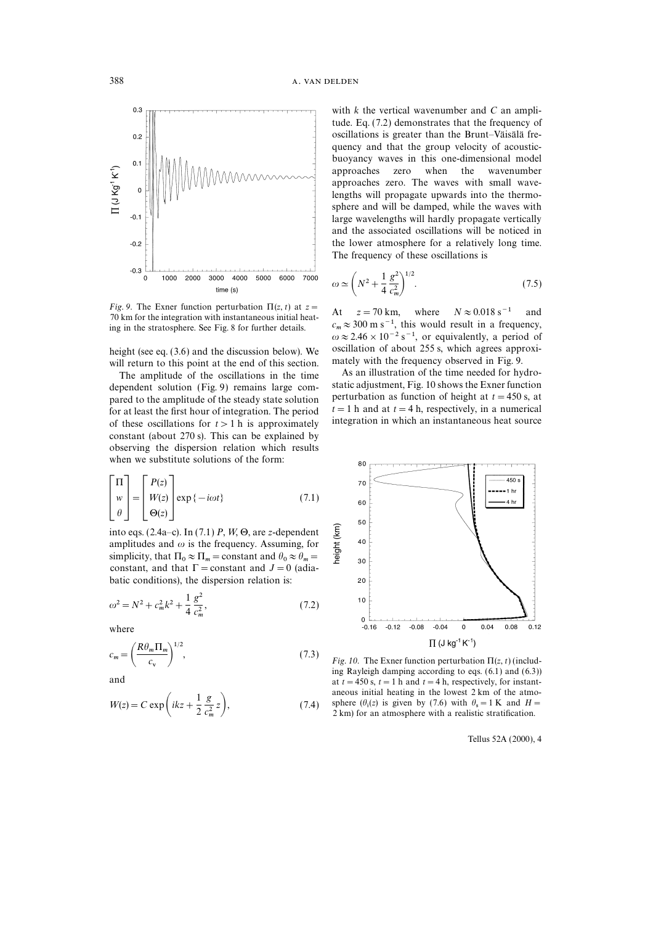

Fig. 9. The Exner function perturbation  $\Pi(z, t)$  at  $z =$ <br>70 km for the integration with instantaneous initial heat-<br>ing in the stratesphere See Fig. 8 for further details c<sub>m</sub>  $\approx$  300 m s<sup>-1</sup>, this would result in a freq ing in the stratosphere. See Fig. 8 for further details.

will return to this point at the end of this section. mately with the frequency observed in Fig. 9.<br>The applitude of the oscillations in the time as an illustration of the time needed for hydro-

dependent solution (Fig. 9) remains large com-<br>particular solution dependent solution depend of the steady state solution of height at  $t=450$  s, at<br>for at least the first hour of integration. The period  $t=1$  h and at  $t$ for at least the first hour of integration. The period  $t=1$  h and at  $t=4$  h, respectively, in a numerical of these oscillations for  $t > 1$  h is annoximately integration in which an instantaneous heat source of these oscillations for  $t > 1$  h is approximately constant (about 270 s). This can be explained by observing the dispersion relation which results when we substitute solutions of the form:

$$
\begin{bmatrix} \Pi \\ w \\ \theta \end{bmatrix} = \begin{bmatrix} P(z) \\ W(z) \\ \Theta(z) \end{bmatrix} \exp \{-i\omega t\}
$$
 (7.1)

into eqs. (2.4a–c). In (7.1) P, W,  $\Theta$ , are z-dependent amplitudes and  $\omega$  is the frequency. Assuming, for simplicity, that  $\Pi_0 \approx \Pi_m = \text{constant}$  and  $\theta_0 \approx \theta_m =$ constant, and that  $\Gamma$  = constant and  $J=0$  (adiabatic conditions), the dispersion relation is:

$$
\omega^2 = N^2 + c_m^2 k^2 + \frac{1}{4} \frac{g^2}{c_m^2},\tag{7.2}
$$

where

$$
c_m = \left(\frac{R\theta_m \Pi_m}{c_v}\right)^{1/2},\tag{7.3}
$$

$$
W(z) = C \exp\left(ikz + \frac{1}{2}\frac{g}{c_m^2}z\right),\tag{7.4}
$$

with  $k$  the vertical wavenumber and  $C$  an amplitude. Eq. (7.2) demonstrates that the frequency of oscillations is greater than the Brunt–Väisälä frequency and that the group velocity of acousticbuoyancy waves in this one-dimensional model approaches zero when the wavenumber approaches zero. The waves with small wavelengths will propagate upwards into the thermosphere and will be damped, while the waves with large wavelengths will hardly propagate vertically and the associated oscillations will be noticed in the lower atmosphere for a relatively long time. The frequency of these oscillations is

$$
\omega \simeq \left( N^2 + \frac{1}{4} \frac{g^2}{c_m^2} \right)^{1/2} . \tag{7.5}
$$

 $\omega \approx 2.46 \times 10^{-2}$  s<sup>-1</sup>, or equivalently, a period of height (see eq. (3.6) and the discussion below). We oscillation of about 255 s, which agrees approxi-<br>will return to this point at the end of this section mately with the frequency observed in Fig. 9.

The amplitude of the oscillations in the time As an illustration of the time needed for hydro-<br>nendent solution (Fig. 9) remains large com-<br>static adjustment, Fig. 10 shows the Exner function



*Fig. 10.* The Exner function perturbation  $\Pi(z, t)$  (including Rayleigh damping according to eqs. (6.1) and (6.3)) and  $\lim_{t \to \infty} \frac{1}{s} = \frac{1}{2} \int_{0}^{t} \frac{1}{s} = 1$  h and  $t = 4$  h, respectively, for instantaneous initial heating in the lowest 2 km of the atmo- $W(z) = C \exp\left(ikz + \frac{1}{2}\frac{g}{c^2}z\right),$  (7.4) sphere  $(\theta_1(z)$  is given by (7.6) with  $\theta_s = 1$  K and  $H =$ ), (7.4) sphere  $(\theta_i(z)$  is given by (7.6) with  $\theta_s = 1$  K and H is 2 km) for an atmosphere with a realistic stratification.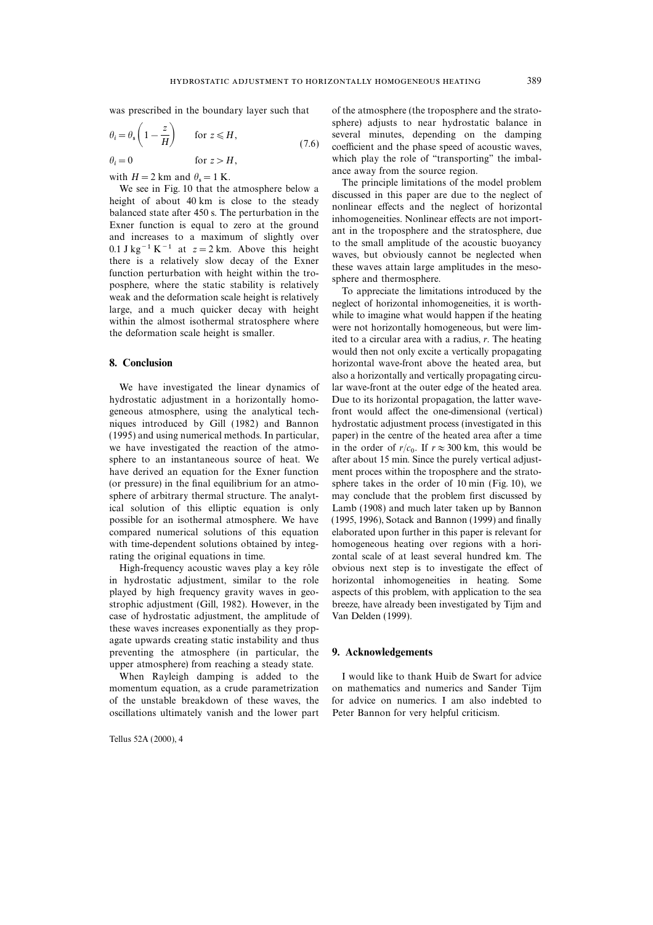$$
\theta_i = \theta_s \left( 1 - \frac{z}{H} \right) \quad \text{for } z \le H,
$$
\n(7.6)

 $\theta_i$ for  $z > H$ ,

We see in Fig. 10 that the atmosphere below a with  $H = 2$  km and  $\theta_s = 1$  K.<br>
We see in Fig. 10 that the atmosphere below a<br>
helight of about 40 km is of the model problem<br>
balanced state after 450 s. The perturbation in the solutions of the model problem<br>
balanced s

hydrostatic adjustment in a horizontally homo- Due to its horizontal propagation, the latter wavegeneous atmosphere, using the analytical tech- front would affect the one-dimensional (vertical) niques introduced by Gill (1982) and Bannon hydrostatic adjustment process (investigated in this (1995) and using numerical methods. In particular, paper) in the centre of the heated area after a time we have investigated the reaction of the atmowe have investigated the reaction of the atmo-<br>sphere to an instantaneous source of heat. We after about 15 min. Since the purely vertical adjusthave derived an equation for the Exner function ment proces within the troposphere and the strato- (or pressure) in the final equilibrium for an atmo- sphere takes in the order of 10 min (Fig. 10), we sphere of arbitrary thermal structure. The analyt- may conclude that the problem first discussed by ical solution of this elliptic equation is only Lamb (1908) and much later taken up by Bannon possible for an isothermal atmosphere. We have (1995, 1996), Sotack and Bannon (1999) and finally compared numerical solutions of this equation elaborated upon further in this paper is relevant for with time-dependent solutions obtained by integ- homogeneous heating over regions with a horirating the original equations in time. zontal scale of at least several hundred km. The

in hydrostatic adjustment, similar to the role horizontal inhomogeneities in heating. Some played by high frequency gravity waves in geo- aspects of this problem, with application to the sea strophic adjustment (Gill, 1982). However, in the breeze, have already been investigated by Tijm and case of hydrostatic adjustment, the amplitude of Van Delden (1999). these waves increases exponentially as they propagate upwards creating static instability and thus preventing the atmosphere (in particular, the 9. Acknowledgements upper atmosphere) from reaching a steady state.

When Rayleigh damping is added to the I would like to thank Huib de Swart for advice momentum equation, as a crude parametrization on mathematics and numerics and Sander Tijm of the unstable breakdown of these waves, the for advice on numerics. I am also indebted to oscillations ultimately vanish and the lower part Peter Bannon for very helpful criticism.

Tellus 52A (2000), 4

was prescribed in the boundary layer such that of the atmosphere (the troposphere and the stratosphere) adjusts to near hydrostatic balance in several minutes, depending on the damping coefficient and the phase speed of acoustic waves, which play the role of "transporting" the imbalwith  $H = 2$  km and  $\theta_s = 1$  K.<br>We are away from the source region.<br>The principle limitations of the model problem

would then not only excite a vertically propagating 8. Conclusion **box** conclusion **horizontal wave-front above the heated area, but** heated area, but also a horizontally and vertically propagating circu-We have investigated the linear dynamics of lar wave-front at the outer edge of the heated area. in the order of  $r/c_0$ . If  $r \approx 300$  km, this would be High-frequency acoustic waves play a key rôle obvious next step is to investigate the effect of